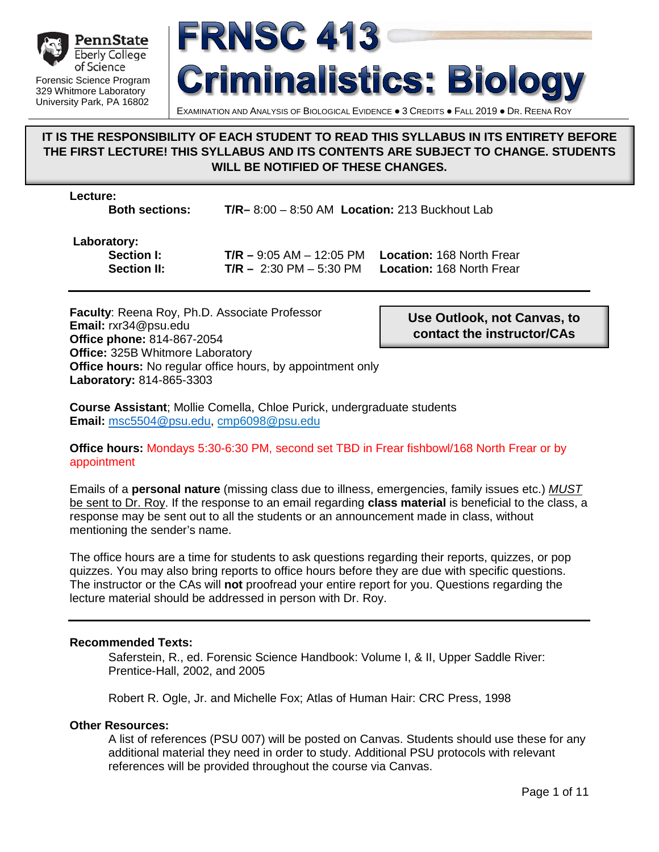



#### EXAMINATION AND ANALYSIS OF BIOLOGICAL EVIDENCE . 3 CREDITS . FALL 2019 . DR. REENA ROY

#### **IT IS THE RESPONSIBILITY OF EACH STUDENT TO READ THIS SYLLABUS IN ITS ENTIRETY BEFORE THE FIRST LECTURE! THIS SYLLABUS AND ITS CONTENTS ARE SUBJECT TO CHANGE. STUDENTS WILL BE NOTIFIED OF THESE CHANGES.**

**Lecture:**

**Both sections: T/R–** 8:00 – 8:50 AM **Location:** 213 Buckhout Lab

# **Laboratory:**

 $T/R - 2:30$  PM – 5:30 PM

**Section I: T/R** – 9:05 AM – 12:05 PM **Location:** 168 North Frear<br>**Section II: T/R** – 2:30 PM – 5:30 PM **Location:** 168 North Frear

**Faculty**: Reena Roy, Ph.D. Associate Professor **Email:** rxr34@psu.edu **Office phone:** 814-867-2054 **Office:** 325B Whitmore Laboratory **Office hours:** No regular office hours, by appointment only **Laboratory:** 814-865-3303

**Use Outlook, not Canvas, to contact the instructor/CAs**

**Course Assistant**; Mollie Comella, Chloe Purick, undergraduate students **Email:** [msc5504@psu.edu,](mailto:msc5504@psu.edu) cmp6098@psu.edu

#### **Office hours:** Mondays 5:30-6:30 PM, second set TBD in Frear fishbowl/168 North Frear or by appointment

Emails of a **personal nature** (missing class due to illness, emergencies, family issues etc.) *MUST*  be sent to Dr. Roy. If the response to an email regarding **class material** is beneficial to the class, a response may be sent out to all the students or an announcement made in class, without mentioning the sender's name.

The office hours are a time for students to ask questions regarding their reports, quizzes, or pop quizzes. You may also bring reports to office hours before they are due with specific questions. The instructor or the CAs will **not** proofread your entire report for you. Questions regarding the lecture material should be addressed in person with Dr. Roy.

#### **Recommended Texts:**

Saferstein, R., ed. Forensic Science Handbook: Volume I, & II, Upper Saddle River: Prentice-Hall, 2002, and 2005

Robert R. Ogle, Jr. and Michelle Fox; Atlas of Human Hair: CRC Press, 1998

#### **Other Resources:**

A list of references (PSU 007) will be posted on Canvas. Students should use these for any additional material they need in order to study. Additional PSU protocols with relevant references will be provided throughout the course via Canvas.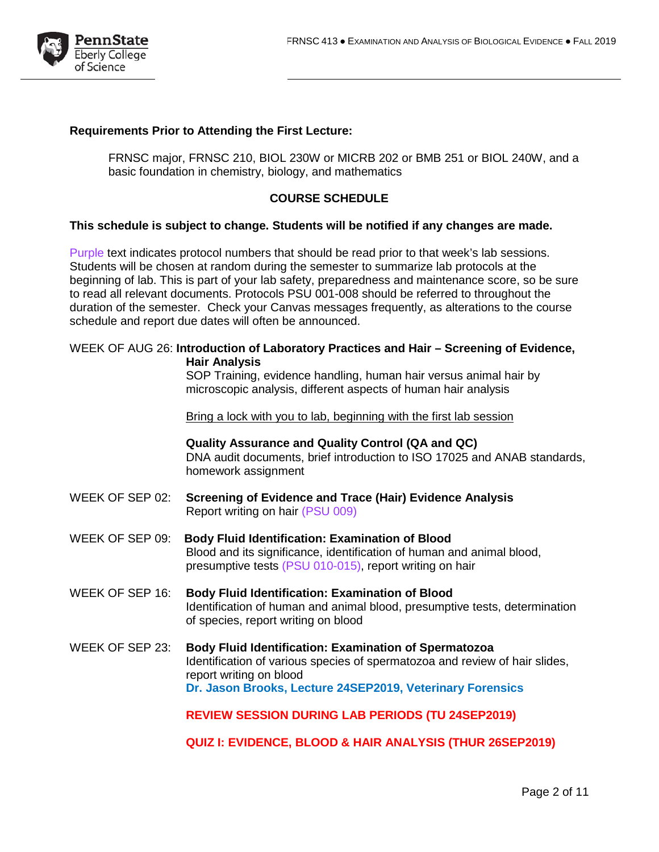

#### **Requirements Prior to Attending the First Lecture:**

FRNSC major, FRNSC 210, BIOL 230W or MICRB 202 or BMB 251 or BIOL 240W, and a basic foundation in chemistry, biology, and mathematics

#### **COURSE SCHEDULE**

#### **This schedule is subject to change. Students will be notified if any changes are made.**

Purple text indicates protocol numbers that should be read prior to that week's lab sessions. Students will be chosen at random during the semester to summarize lab protocols at the beginning of lab. This is part of your lab safety, preparedness and maintenance score, so be sure to read all relevant documents. Protocols PSU 001-008 should be referred to throughout the duration of the semester. Check your Canvas messages frequently, as alterations to the course schedule and report due dates will often be announced.

#### WEEK OF AUG 26: **Introduction of Laboratory Practices and Hair – Screening of Evidence, Hair Analysis**

SOP Training, evidence handling, human hair versus animal hair by microscopic analysis, different aspects of human hair analysis

Bring a lock with you to lab, beginning with the first lab session

**Quality Assurance and Quality Control (QA and QC)** DNA audit documents, brief introduction to ISO 17025 and ANAB standards, homework assignment

- WEEK OF SEP 02: **Screening of Evidence and Trace (Hair) Evidence Analysis** Report writing on hair (PSU 009)
- WEEK OF SEP 09: **Body Fluid Identification: Examination of Blood** Blood and its significance, identification of human and animal blood, presumptive tests (PSU 010-015), report writing on hair
- WEEK OF SEP 16: **Body Fluid Identification: Examination of Blood** Identification of human and animal blood, presumptive tests, determination of species, report writing on blood
- WEEK OF SEP 23: **Body Fluid Identification: Examination of Spermatozoa** Identification of various species of spermatozoa and review of hair slides, report writing on blood **Dr. Jason Brooks, Lecture 24SEP2019, Veterinary Forensics**

**REVIEW SESSION DURING LAB PERIODS (TU 24SEP2019)**

**QUIZ I: EVIDENCE, BLOOD & HAIR ANALYSIS (THUR 26SEP2019)**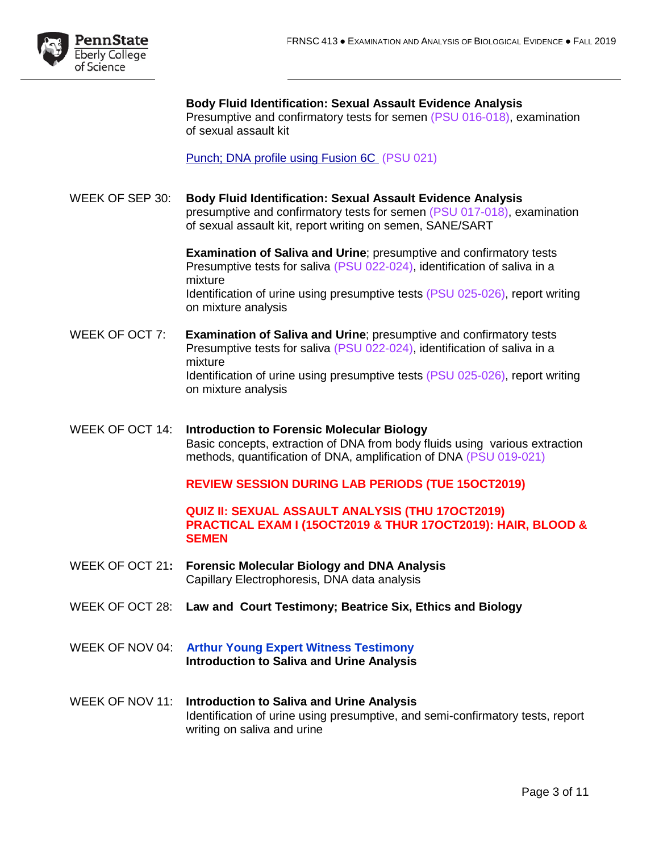

**Body Fluid Identification: Sexual Assault Evidence Analysis**  Presumptive and confirmatory tests for semen (PSU 016-018), examination of sexual assault kit

Punch; DNA profile using Fusion 6C (PSU 021)

WEEK OF SEP 30: **Body Fluid Identification: Sexual Assault Evidence Analysis**  presumptive and confirmatory tests for semen (PSU 017-018), examination of sexual assault kit, report writing on semen, SANE/SART

> **Examination of Saliva and Urine**; presumptive and confirmatory tests Presumptive tests for saliva (PSU 022-024), identification of saliva in a mixture Identification of urine using presumptive tests (PSU 025-026), report writing on mixture analysis

- WEEK OF OCT 7: **Examination of Saliva and Urine**; presumptive and confirmatory tests Presumptive tests for saliva (PSU 022-024), identification of saliva in a mixture Identification of urine using presumptive tests (PSU 025-026), report writing on mixture analysis
- WEEK OF OCT 14: **Introduction to Forensic Molecular Biology** Basic concepts, extraction of DNA from body fluids using various extraction methods, quantification of DNA, amplification of DNA (PSU 019-021)

**REVIEW SESSION DURING LAB PERIODS (TUE 15OCT2019)**

#### **QUIZ II: SEXUAL ASSAULT ANALYSIS (THU 17OCT2019) PRACTICAL EXAM I (15OCT2019 & THUR 17OCT2019): HAIR, BLOOD & SEMEN**

- WEEK OF OCT 21**: Forensic Molecular Biology and DNA Analysis** Capillary Electrophoresis, DNA data analysis
- WEEK OF OCT 28: **Law and Court Testimony; Beatrice Six, Ethics and Biology**
- WEEK OF NOV 04: **Arthur Young Expert Witness Testimony Introduction to Saliva and Urine Analysis**
- WEEK OF NOV 11: **Introduction to Saliva and Urine Analysis** Identification of urine using presumptive, and semi-confirmatory tests, report writing on saliva and urine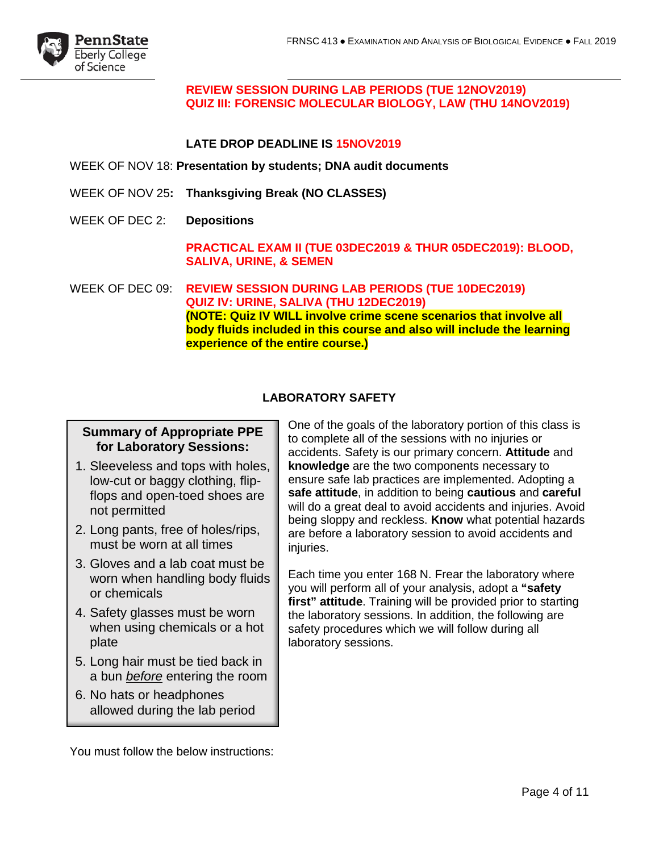

**REVIEW SESSION DURING LAB PERIODS (TUE 12NOV2019) QUIZ III: FORENSIC MOLECULAR BIOLOGY, LAW (THU 14NOV2019)** 

#### **LATE DROP DEADLINE IS 15NOV2019**

WEEK OF NOV 18: **Presentation by students; DNA audit documents**

- WEEK OF NOV 25**: Thanksgiving Break (NO CLASSES)**
- WEEK OF DEC 2: **Depositions**

**PRACTICAL EXAM II (TUE 03DEC2019 & THUR 05DEC2019): BLOOD, SALIVA, URINE, & SEMEN**

WEEK OF DEC 09: **REVIEW SESSION DURING LAB PERIODS (TUE 10DEC2019) QUIZ IV: URINE, SALIVA (THU 12DEC2019) (NOTE: Quiz IV WILL involve crime scene scenarios that involve all body fluids included in this course and also will include the learning experience of the entire course.)**

#### **LABORATORY SAFETY**

#### **Summary of Appropriate PPE for Laboratory Sessions:**

- 1. Sleeveless and tops with holes, low-cut or baggy clothing, flipflops and open-toed shoes are not permitted
- 2. Long pants, free of holes/rips, must be worn at all times
- 3. Gloves and a lab coat must be worn when handling body fluids or chemicals
- 4. Safety glasses must be worn when using chemicals or a hot plate
- 5. Long hair must be tied back in a bun *before* entering the room
- 6. No hats or headphones allowed during the lab period

One of the goals of the laboratory portion of this class is to complete all of the sessions with no injuries or accidents. Safety is our primary concern. **Attitude** and **knowledge** are the two components necessary to ensure safe lab practices are implemented. Adopting a **safe attitude**, in addition to being **cautious** and **careful** will do a great deal to avoid accidents and injuries. Avoid being sloppy and reckless. **Know** what potential hazards are before a laboratory session to avoid accidents and injuries.

Each time you enter 168 N. Frear the laboratory where you will perform all of your analysis, adopt a **"safety first" attitude**. Training will be provided prior to starting the laboratory sessions. In addition, the following are safety procedures which we will follow during all laboratory sessions.

You must follow the below instructions: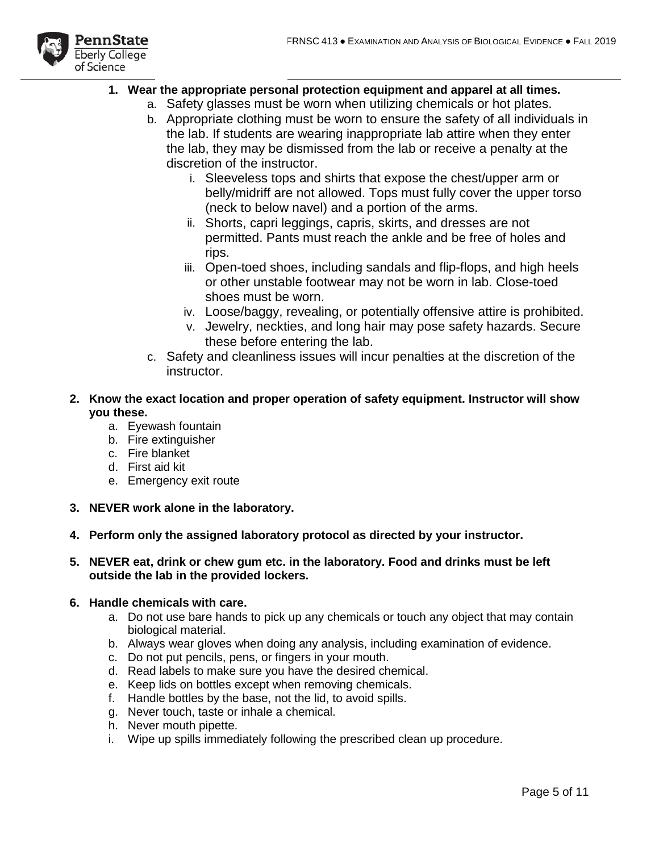

#### **1. Wear the appropriate personal protection equipment and apparel at all times.**

- a. Safety glasses must be worn when utilizing chemicals or hot plates.
	- b. Appropriate clothing must be worn to ensure the safety of all individuals in the lab. If students are wearing inappropriate lab attire when they enter the lab, they may be dismissed from the lab or receive a penalty at the discretion of the instructor.
		- i. Sleeveless tops and shirts that expose the chest/upper arm or belly/midriff are not allowed. Tops must fully cover the upper torso (neck to below navel) and a portion of the arms.
		- ii. Shorts, capri leggings, capris, skirts, and dresses are not permitted. Pants must reach the ankle and be free of holes and rips.
		- iii. Open-toed shoes, including sandals and flip-flops, and high heels or other unstable footwear may not be worn in lab. Close-toed shoes must be worn.
		- iv. Loose/baggy, revealing, or potentially offensive attire is prohibited.
		- v. Jewelry, neckties, and long hair may pose safety hazards. Secure these before entering the lab.
- c. Safety and cleanliness issues will incur penalties at the discretion of the instructor.
- **2. Know the exact location and proper operation of safety equipment. Instructor will show you these.** 
	- a. Eyewash fountain
	- b. Fire extinguisher
	- c. Fire blanket
	- d. First aid kit
	- e. Emergency exit route
- **3. NEVER work alone in the laboratory.**
- **4. Perform only the assigned laboratory protocol as directed by your instructor.**
- **5. NEVER eat, drink or chew gum etc. in the laboratory. Food and drinks must be left outside the lab in the provided lockers.**

#### **6. Handle chemicals with care.**

- a. Do not use bare hands to pick up any chemicals or touch any object that may contain biological material.
- b. Always wear gloves when doing any analysis, including examination of evidence.
- c. Do not put pencils, pens, or fingers in your mouth.
- d. Read labels to make sure you have the desired chemical.
- e. Keep lids on bottles except when removing chemicals.
- f. Handle bottles by the base, not the lid, to avoid spills.
- g. Never touch, taste or inhale a chemical.
- h. Never mouth pipette.
- i. Wipe up spills immediately following the prescribed clean up procedure.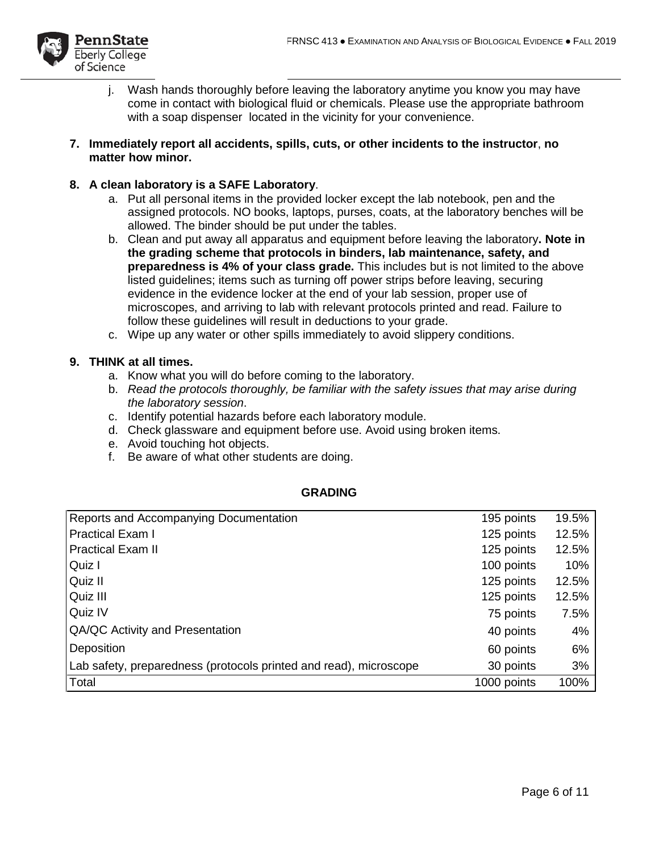

- j. Wash hands thoroughly before leaving the laboratory anytime you know you may have come in contact with biological fluid or chemicals. Please use the appropriate bathroom with a soap dispenser located in the vicinity for your convenience.
- **7. Immediately report all accidents, spills, cuts, or other incidents to the instructor**, **no matter how minor.**

#### **8. A clean laboratory is a SAFE Laboratory**.

- a. Put all personal items in the provided locker except the lab notebook, pen and the assigned protocols. NO books, laptops, purses, coats, at the laboratory benches will be allowed. The binder should be put under the tables.
- b. Clean and put away all apparatus and equipment before leaving the laboratory**. Note in the grading scheme that protocols in binders, lab maintenance, safety, and preparedness is 4% of your class grade.** This includes but is not limited to the above listed guidelines; items such as turning off power strips before leaving, securing evidence in the evidence locker at the end of your lab session, proper use of microscopes, and arriving to lab with relevant protocols printed and read. Failure to follow these guidelines will result in deductions to your grade.
- c. Wipe up any water or other spills immediately to avoid slippery conditions.

#### **9. THINK at all times.**

- a. Know what you will do before coming to the laboratory.
- b. *Read the protocols thoroughly, be familiar with the safety issues that may arise during the laboratory session*.
- c. Identify potential hazards before each laboratory module.
- d. Check glassware and equipment before use. Avoid using broken items.
- e. Avoid touching hot objects.
- f. Be aware of what other students are doing.

#### **GRADING**

| Reports and Accompanying Documentation                            | 195 points  | 19.5% |
|-------------------------------------------------------------------|-------------|-------|
| <b>Practical Exam I</b>                                           | 125 points  | 12.5% |
| <b>Practical Exam II</b>                                          | 125 points  | 12.5% |
| Quiz I                                                            | 100 points  | 10%   |
| Quiz II                                                           | 125 points  | 12.5% |
| Quiz III                                                          | 125 points  | 12.5% |
| Quiz IV                                                           | 75 points   | 7.5%  |
| QA/QC Activity and Presentation                                   | 40 points   | 4%    |
| Deposition                                                        | 60 points   | 6%    |
| Lab safety, preparedness (protocols printed and read), microscope | 30 points   | 3%    |
| Total                                                             | 1000 points | 100%  |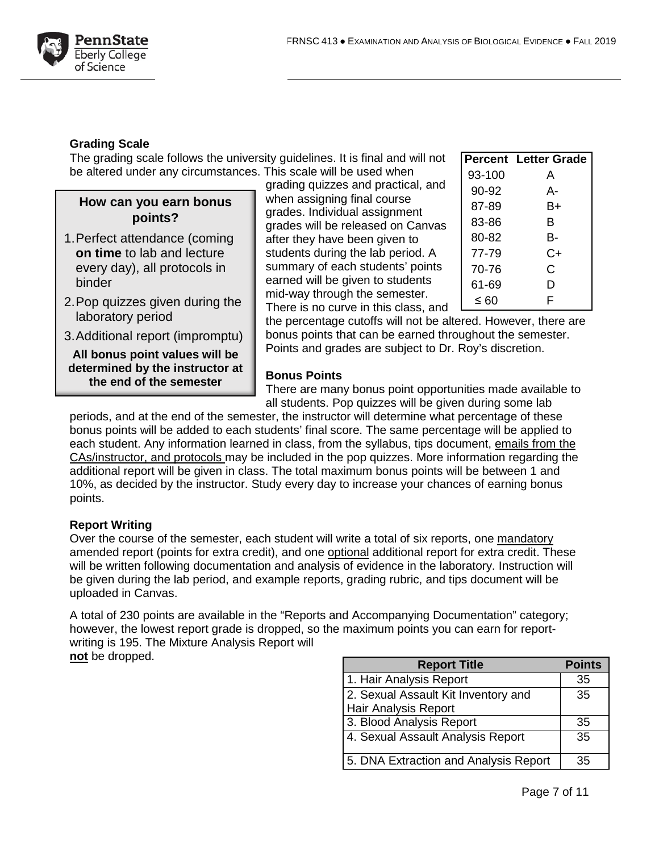

#### **Grading Scale**

The grading scale follows the university guidelines. It is final and will not be altered under any circumstances. This scale will be used when

## **How can you earn bonus points?**

- 1.Perfect attendance (coming **on time** to lab and lecture every day), all protocols in binder
- 2.Pop quizzes given during the laboratory period
- 3.Additional report (impromptu)

**All bonus point values will be determined by the instructor at the end of the semester**

grading quizzes and practical, and when assigning final course grades. Individual assignment grades will be released on Canvas after they have been given to students during the lab period. A summary of each students' points earned will be given to students mid-way through the semester. There is no curve in this class, and

|           | <b>Percent Letter Grade</b> |
|-----------|-----------------------------|
| 93-100    | А                           |
| $90 - 92$ | А-                          |
| 87-89     | B+                          |
| 83-86     | в                           |
| 80-82     | в-                          |
| 77-79     | $C+$                        |
| 70-76     | C                           |
| 61-69     | D                           |
| ≤ 60      | F                           |

the percentage cutoffs will not be altered. However, there are bonus points that can be earned throughout the semester. Points and grades are subject to Dr. Roy's discretion.

#### **Bonus Points**

There are many bonus point opportunities made available to all students. Pop quizzes will be given during some lab

periods, and at the end of the semester, the instructor will determine what percentage of these bonus points will be added to each students' final score. The same percentage will be applied to each student. Any information learned in class, from the syllabus, tips document, emails from the CAs/instructor, and protocols may be included in the pop quizzes. More information regarding the additional report will be given in class. The total maximum bonus points will be between 1 and 10%, as decided by the instructor. Study every day to increase your chances of earning bonus points.

#### **Report Writing**

Over the course of the semester, each student will write a total of six reports, one mandatory amended report (points for extra credit), and one optional additional report for extra credit. These will be written following documentation and analysis of evidence in the laboratory. Instruction will be given during the lab period, and example reports, grading rubric, and tips document will be uploaded in Canvas.

A total of 230 points are available in the "Reports and Accompanying Documentation" category; however, the lowest report grade is dropped, so the maximum points you can earn for reportwriting is 195. The Mixture Analysis Report will **not** be dropped.

| <b>Report Title</b>                   | <b>Points</b> |
|---------------------------------------|---------------|
| 1. Hair Analysis Report               | 35            |
| 2. Sexual Assault Kit Inventory and   | 35            |
| <b>Hair Analysis Report</b>           |               |
| 3. Blood Analysis Report              | 35            |
| 4. Sexual Assault Analysis Report     | 35            |
| 5. DNA Extraction and Analysis Report | 35            |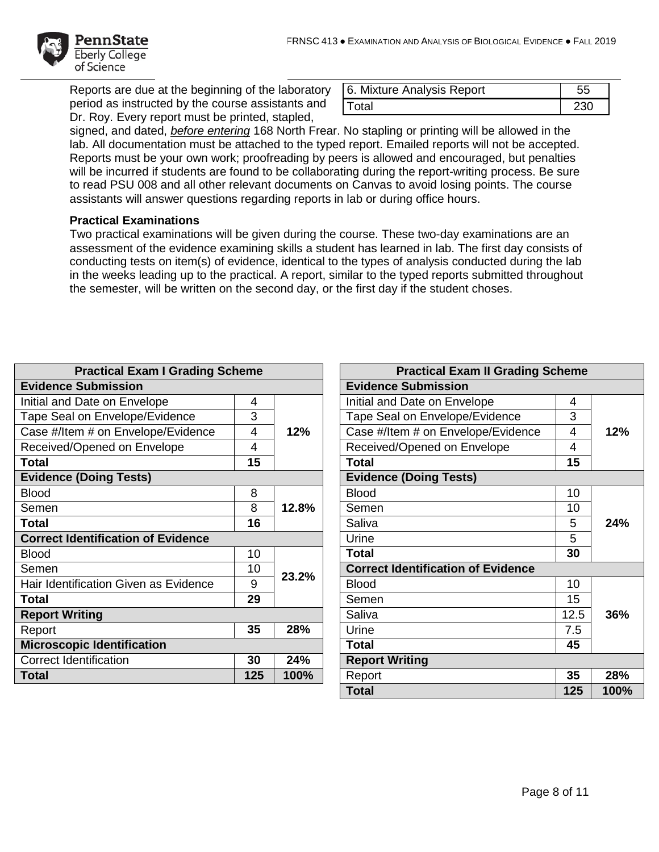

Reports are due at the beginning of the laboratory period as instructed by the course assistants and Dr. Roy. Every report must be printed, stapled,

| 6. Mixture Analysis Report | 55  |
|----------------------------|-----|
| l Total                    | 230 |

signed, and dated, *before entering* 168 North Frear. No stapling or printing will be allowed in the lab. All documentation must be attached to the typed report. Emailed reports will not be accepted. Reports must be your own work; proofreading by peers is allowed and encouraged, but penalties will be incurred if students are found to be collaborating during the report-writing process. Be sure to read PSU 008 and all other relevant documents on Canvas to avoid losing points. The course assistants will answer questions regarding reports in lab or during office hours.

#### **Practical Examinations**

Two practical examinations will be given during the course. These two-day examinations are an assessment of the evidence examining skills a student has learned in lab. The first day consists of conducting tests on item(s) of evidence, identical to the types of analysis conducted during the lab in the weeks leading up to the practical. A report, similar to the typed reports submitted throughout the semester, will be written on the second day, or the first day if the student choses.

| <b>Practical Exam I Grading Scheme</b>    |     |                                           | <b>Practical Exam II Grading Scheme</b> |      |     |
|-------------------------------------------|-----|-------------------------------------------|-----------------------------------------|------|-----|
| <b>Evidence Submission</b>                |     | <b>Evidence Submission</b>                |                                         |      |     |
| Initial and Date on Envelope              | 4   |                                           | Initial and Date on Envelope            | 4    |     |
| Tape Seal on Envelope/Evidence            | 3   |                                           | Tape Seal on Envelope/Evidence          | 3    |     |
| Case #/Item # on Envelope/Evidence        | 4   | 12%                                       | Case #/Item # on Envelope/Evidence      | 4    | 12% |
| Received/Opened on Envelope               | 4   |                                           | Received/Opened on Envelope             | 4    |     |
| <b>Total</b>                              | 15  |                                           | Total                                   | 15   |     |
| <b>Evidence (Doing Tests)</b>             |     |                                           | <b>Evidence (Doing Tests)</b>           |      |     |
| <b>Blood</b>                              | 8   |                                           | <b>Blood</b>                            | 10   |     |
| Semen                                     | 8   | 12.8%                                     | Semen                                   | 10   |     |
| <b>Total</b>                              | 16  |                                           | Saliva                                  | 5    | 24% |
| <b>Correct Identification of Evidence</b> |     |                                           | Urine                                   | 5    |     |
| <b>Blood</b>                              | 10  |                                           | <b>Total</b>                            | 30   |     |
| Semen                                     | 10  | <b>Correct Identification of Evidence</b> |                                         |      |     |
| Hair Identification Given as Evidence     | 9   | 23.2%                                     | <b>Blood</b>                            | 10   |     |
| Total                                     | 29  |                                           | Semen                                   | 15   |     |
| <b>Report Writing</b>                     |     |                                           | Saliva                                  | 12.5 | 36% |
| Report                                    | 35  | 28%                                       | Urine                                   | 7.5  |     |
| <b>Microscopic Identification</b>         |     |                                           | <b>Total</b>                            | 45   |     |
| <b>Correct Identification</b>             | 30  | 24%                                       | <b>Report Writing</b>                   |      |     |
| Total                                     | 125 | 100%                                      | Report                                  | 35   | 28% |
|                                           |     |                                           |                                         |      |     |

| <b>Practical Exam II Grading Scheme</b>   |      |      |  |
|-------------------------------------------|------|------|--|
| <b>Evidence Submission</b>                |      |      |  |
| Initial and Date on Envelope              | 4    |      |  |
| Tape Seal on Envelope/Evidence            | 3    |      |  |
| Case #/Item # on Envelope/Evidence        | 4    | 12%  |  |
| Received/Opened on Envelope               | 4    |      |  |
| <b>Total</b>                              | 15   |      |  |
| <b>Evidence (Doing Tests)</b>             |      |      |  |
| <b>Blood</b>                              | 10   |      |  |
| Semen                                     | 10   |      |  |
| Saliva                                    | 5    | 24%  |  |
| Urine                                     | 5    |      |  |
| <b>Total</b>                              | 30   |      |  |
| <b>Correct Identification of Evidence</b> |      |      |  |
| <b>Blood</b>                              | 10   |      |  |
| Semen                                     | 15   |      |  |
| Saliva                                    | 12.5 | 36%  |  |
| Urine                                     | 7.5  |      |  |
| <b>Total</b>                              | 45   |      |  |
| <b>Report Writing</b>                     |      |      |  |
| Report                                    | 35   | 28%  |  |
| <b>Total</b>                              | 125  | 100% |  |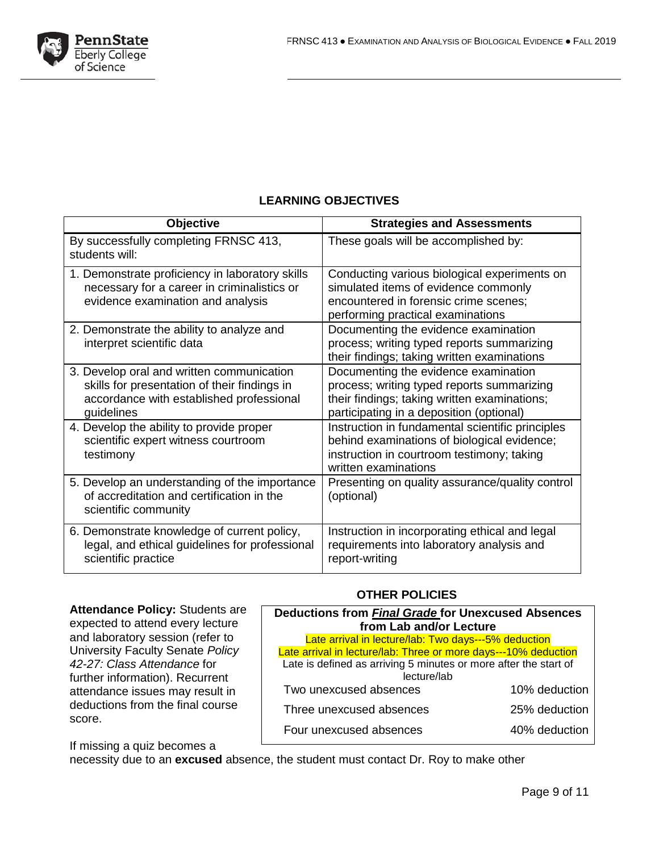

### **LEARNING OBJECTIVES**

| <b>Objective</b>                                                                                                                                    | <b>Strategies and Assessments</b>                                                                                                                                              |
|-----------------------------------------------------------------------------------------------------------------------------------------------------|--------------------------------------------------------------------------------------------------------------------------------------------------------------------------------|
| By successfully completing FRNSC 413,<br>students will:                                                                                             | These goals will be accomplished by:                                                                                                                                           |
| 1. Demonstrate proficiency in laboratory skills<br>necessary for a career in criminalistics or<br>evidence examination and analysis                 | Conducting various biological experiments on<br>simulated items of evidence commonly<br>encountered in forensic crime scenes;<br>performing practical examinations             |
| 2. Demonstrate the ability to analyze and<br>interpret scientific data                                                                              | Documenting the evidence examination<br>process; writing typed reports summarizing<br>their findings; taking written examinations                                              |
| 3. Develop oral and written communication<br>skills for presentation of their findings in<br>accordance with established professional<br>guidelines | Documenting the evidence examination<br>process; writing typed reports summarizing<br>their findings; taking written examinations;<br>participating in a deposition (optional) |
| 4. Develop the ability to provide proper<br>scientific expert witness courtroom<br>testimony                                                        | Instruction in fundamental scientific principles<br>behind examinations of biological evidence;<br>instruction in courtroom testimony; taking<br>written examinations          |
| 5. Develop an understanding of the importance<br>of accreditation and certification in the<br>scientific community                                  | Presenting on quality assurance/quality control<br>(optional)                                                                                                                  |
| 6. Demonstrate knowledge of current policy,<br>legal, and ethical guidelines for professional<br>scientific practice                                | Instruction in incorporating ethical and legal<br>requirements into laboratory analysis and<br>report-writing                                                                  |

**Attendance Policy:** Students are expected to attend every lecture and laboratory session (refer to University Faculty Senate *Policy 42-27: Class Attendance* for further information). Recurrent attendance issues may result in deductions from the final course score.

#### **OTHER POLICIES**

| <b>Deductions from Final Grade for Unexcused Absences</b>                       |               |  |  |
|---------------------------------------------------------------------------------|---------------|--|--|
| from Lab and/or Lecture                                                         |               |  |  |
| Late arrival in lecture/lab: Two days---5% deduction                            |               |  |  |
| Late arrival in lecture/lab: Three or more days---10% deduction                 |               |  |  |
| Late is defined as arriving 5 minutes or more after the start of<br>lecture/lab |               |  |  |
| Two unexcused absences                                                          | 10% deduction |  |  |
| Three unexcused absences                                                        | 25% deduction |  |  |
| Four unexcused absences                                                         | 40% deduction |  |  |

If missing a quiz becomes a

necessity due to an **excused** absence, the student must contact Dr. Roy to make other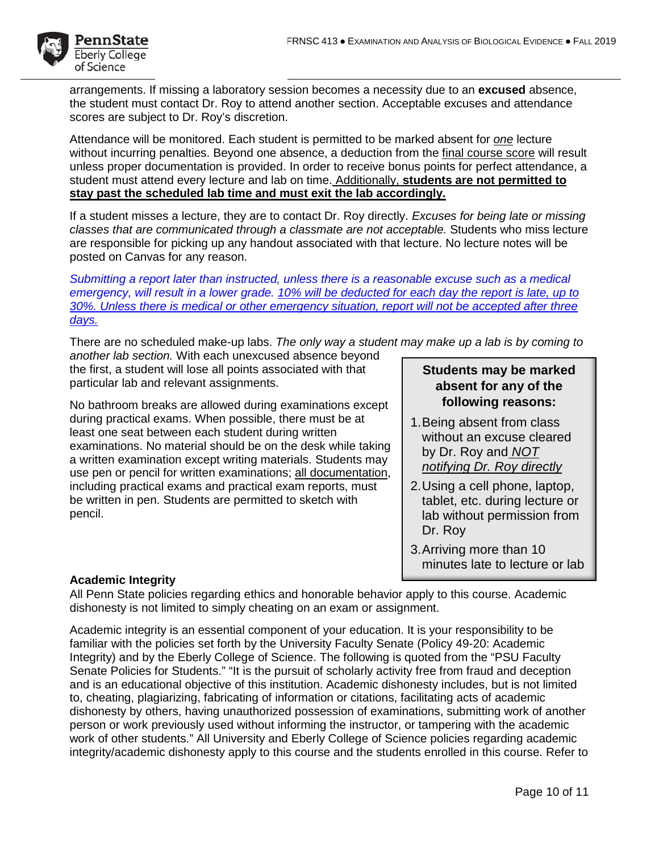

arrangements. If missing a laboratory session becomes a necessity due to an **excused** absence, the student must contact Dr. Roy to attend another section. Acceptable excuses and attendance scores are subject to Dr. Roy's discretion.

Attendance will be monitored. Each student is permitted to be marked absent for *one* lecture without incurring penalties. Beyond one absence, a deduction from the final course score will result unless proper documentation is provided. In order to receive bonus points for perfect attendance, a student must attend every lecture and lab on time. Additionally, **students are not permitted to stay past the scheduled lab time and must exit the lab accordingly.** 

If a student misses a lecture, they are to contact Dr. Roy directly. *Excuses for being late or missing classes that are communicated through a classmate are not acceptable.* Students who miss lecture are responsible for picking up any handout associated with that lecture. No lecture notes will be posted on Canvas for any reason.

*Submitting a report later than instructed, unless there is a reasonable excuse such as a medical emergency, will result in a lower grade. 10% will be deducted for each day the report is late, up to 30%. Unless there is medical or other emergency situation, report will not be accepted after three days.*

There are no scheduled make-up labs. *The only way a student may make up a lab is by coming to* 

*another lab section.* With each unexcused absence beyond the first, a student will lose all points associated with that particular lab and relevant assignments.

No bathroom breaks are allowed during examinations except during practical exams. When possible, there must be at least one seat between each student during written examinations. No material should be on the desk while taking a written examination except writing materials. Students may use pen or pencil for written examinations; all documentation, including practical exams and practical exam reports, must be written in pen. Students are permitted to sketch with pencil.

### **Students may be marked absent for any of the following reasons:**

- 1.Being absent from class without an excuse cleared by Dr. Roy and *NOT notifying Dr. Roy directly*
- 2.Using a cell phone, laptop, tablet, etc. during lecture or lab without permission from Dr. Roy
- 3.Arriving more than 10 minutes late to lecture or lab

#### **Academic Integrity**

All Penn State policies regarding ethics and honorable behavior apply to this course. Academic dishonesty is not limited to simply cheating on an exam or assignment.

Academic integrity is an essential component of your education. It is your responsibility to be familiar with the policies set forth by the University Faculty Senate (Policy 49-20: Academic Integrity) and by the Eberly College of Science. The following is quoted from the "PSU Faculty Senate Policies for Students." "It is the pursuit of scholarly activity free from fraud and deception and is an educational objective of this institution. Academic dishonesty includes, but is not limited to, cheating, plagiarizing, fabricating of information or citations, facilitating acts of academic dishonesty by others, having unauthorized possession of examinations, submitting work of another person or work previously used without informing the instructor, or tampering with the academic work of other students." All University and Eberly College of Science policies regarding academic integrity/academic dishonesty apply to this course and the students enrolled in this course. Refer to